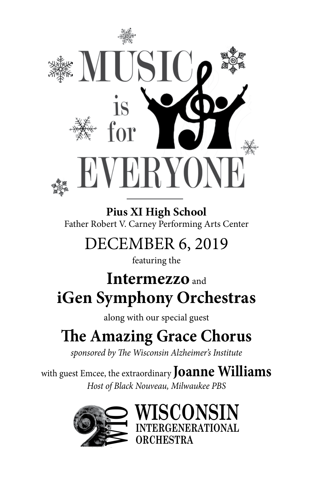

**Pius XI High School** Father Robert V. Carney Performing Arts Center

# DECEMBER 6, 2019

featuring the

# **Intermezzo** and **iGen Symphony Orchestras**

along with our special guest

# **The Amazing Grace Chorus**

*sponsored by The Wisconsin Alzheimer's Institute*

with guest Emcee, the extraordinary **Joanne Williams** *Host of Black Nouveau, Milwaukee PBS*

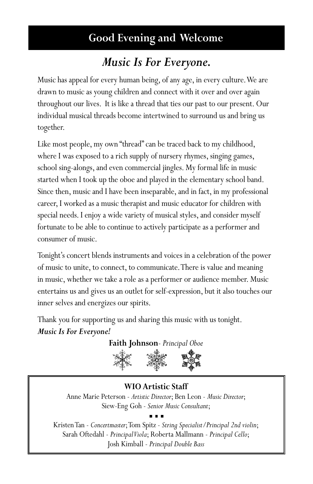# **Good Evening and Welcome**

# *Music Is For Everyone.*

Music has appeal for every human being, of any age, in every culture. We are drawn to music as young children and connect with it over and over again throughout our lives. It is like a thread that ties our past to our present. Our individual musical threads become intertwined to surround us and bring us together.

Like most people, my own "thread" can be traced back to my childhood, where I was exposed to a rich supply of nursery rhymes, singing games, school sing-alongs, and even commercial jingles. My formal life in music started when I took up the oboe and played in the elementary school band. Since then, music and I have been inseparable, and in fact, in my professional career, I worked as a music therapist and music educator for children with special needs. I enjoy a wide variety of musical styles, and consider myself fortunate to be able to continue to actively participate as a performer and consumer of music.

Tonight's concert blends instruments and voices in a celebration of the power of music to unite, to connect, to communicate. There is value and meaning in music, whether we take a role as a performer or audience member. Music entertains us and gives us an outlet for self-expression, but it also touches our inner selves and energizes our spirits.

Thank you for supporting us and sharing this music with us tonight. *Music Is For Everyone!*

**Faith Johnson**- *Principal Oboe*



**WIO Artistic Staff** Anne Marie Peterson - *Artistic Director*; Ben Leon - *Music Director*; Siew-Eng Goh - *Senior Music Consultant*;

Kristen Tan - *Concertmaster*; Tom Spitz - *String Specialist/Principal 2nd violin*; Sarah Oftedahl - *Principal Viola*; Roberta Mallmann - *Principal Cello*; Josh Kimball - *Principal Double Bass*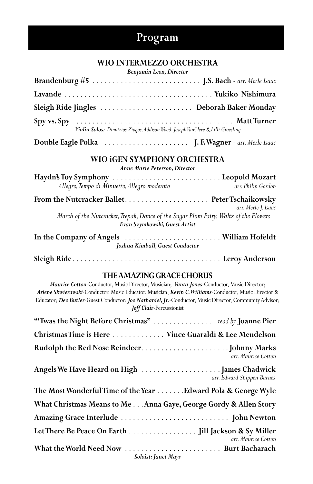# **Program**

#### **WIO INTERMEZZO ORCHESTRA**

*Benjamin Leon, Director*

| Violin Solos: Dimitrios Ziogas, Addison Wood, Joseph VanCleve & Lilli Graesling |  |
|---------------------------------------------------------------------------------|--|

| Double Eagle Polka |  | J. F. Wagner - arr. Merle Isaac |  |
|--------------------|--|---------------------------------|--|
|--------------------|--|---------------------------------|--|

#### **WIO iGEN SYMPHONY ORCHESTRA**

*Anne Marie Peterson, Director*

| Allegro, Tempo di Minuetto, Allegro moderato | arr. Philip Gordon  |
|----------------------------------------------|---------------------|
|                                              |                     |
|                                              | arr. Merle I. Isaac |

 *March of the Nutcracker, Trepak, Dance of the Sugar Plum Fairy, Waltz of the Flowers Evan Szymkowski, Guest Artist* 

**In the Company of Angels** . . **William Hofeldt** *Joshua Kimball, Guest Conductor*

**Sleigh Ride** . . **Leroy Anderson**

#### **THE AMAZING GRACE CHORUS**

*Maurice Cotton*-Conductor, Music Director, Musician; *Vanta Jones*-Conductor, Music Director; *Arlene Skwierawski*-Conductor, Music Educator, Musician; *Kevin C. Williams*-Conductor, Music Director & Educator; *Dee Butler*-Guest Conductor; *Joe Nathaniel, Jr.*-Conductor, Music Director, Community Advisor; *Jeff Clair*-Percussionist

| "Twas the Night Before Christmas" read by Joanne Pier            |
|------------------------------------------------------------------|
| Christmas Time is Here  Vince Guaraldi & Lee Mendelson           |
| arr. Maurice Cotton                                              |
| arr. Edward Shippen Barnes                                       |
| The Most Wonderful Time of the Year Edward Pola & George Wyle    |
| What Christmas Means to Me Anna Gaye, George Gordy & Allen Story |
|                                                                  |
| arr. Maurice Cotton                                              |
| Soloist: Janet Mays                                              |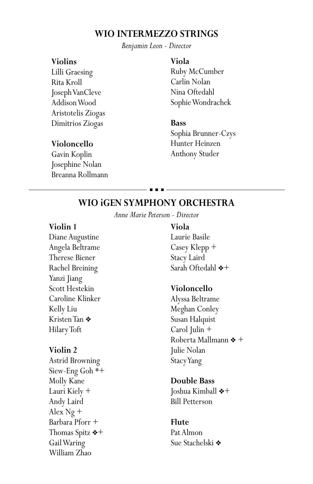### **WIO INTERMEZZO STRINGS**

*Benjamin Leon - Director*

#### **Violins**

Lilli Graesing Rita Kroll Joseph VanCleve Addison Wood Aristotelis Ziogas Dimitrios Ziogas

#### **Violoncello**

Gavin Koplin Josephine Nolan Breanna Rollmann

#### **Viola**

Ruby McCumber Carlin Nolan Nina Oftedahl Sophie Wondrachek

#### **Bass**

Sophia Brunner-Czys Hunter Heinzen Anthony Studer

# **WIO iGEN SYMPHONY ORCHESTRA**

*Anne Marie Peterson - Director*

#### **Violin 1**

Diane Augustine Angela Beltrame Therese Biener Rachel Breining Yanzi Jiang Scott Hestekin Caroline Klinker Kelly Liu Kristen Tan ◆ Hilary Toft

#### **Violin 2**

Astrid Browning Siew-Eng Goh \*+ Molly Kane Lauri Kiely + Andy Laird Alex Ng + Barbara Pforr + Thomas Spitz  $*+$ Gail Waring William Zhao

#### **Viola**

Laurie Basile Casey Klepp + Stacy Laird Sarah Oftedahl  $*+$ 

#### **Violoncello**

Alyssa Beltrame Meghan Conley Susan Halquist Carol Julin + Roberta Mallmann  $*$  + Julie Nolan Stacy Yang

#### **Double Bass**

Joshua Kimball  $*+$ Bill Petterson

#### **Flute**

Pat Almon Sue Stachelski **❖**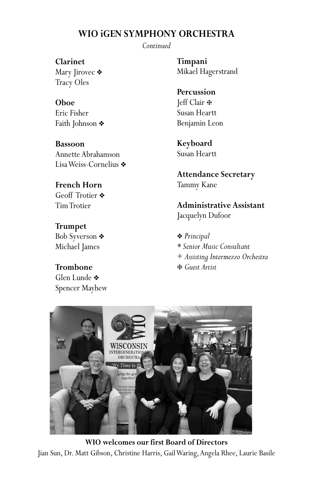# **WIO iGEN SYMPHONY ORCHESTRA**

*Continued*

**Clarinet**

Mary Jirovec ❖ Tracy Oles

**Oboe** Eric Fisher Faith Johnson \*

**Bassoon** Annette Abrahamson Lisa Weiss-Cornelius ◆

### **French Horn** Geoff Trotier  $\clubsuit$

Tim Trotier

**Trumpet** Bob Syverson ❖ Michael James

# **Trombone**

Glen Lunde  $\clubsuit$ Spencer Mayhew **Timpani** Mikael Hagerstrand

**Percussion** Jeff Clair h Susan Heartt Benjamin Leon

**Keyboard** Susan Heartt

**Attendance Secretary** Tammy Kane

**Administrative Assistant** Jacquelyn Dufoor

v *Principal \* Senior Music Consultant* + *Assisting Intermezzo Orchestra* h *Guest Artist*



**WIO welcomes our first Board of Directors** Jian Sun, Dr. Matt Gibson, Christine Harris, Gail Waring, Angela Rhee, Laurie Basile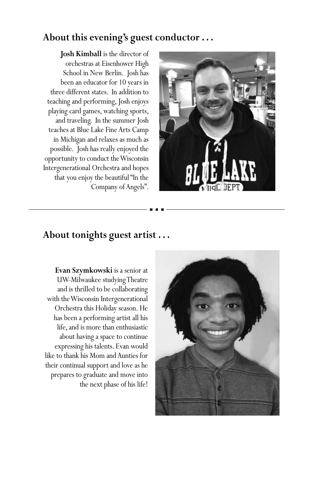# **About this evening's guest conductor . . .**

**Josh Kimball** is the director of orchestras at Eisenhower High School in New Berlin. Josh has been an educator for 10 years in three different states. In addition to teaching and performing, Josh enjoys playing card games, watching sports, and traveling. In the summer Josh teaches at Blue Lake Fine Arts Camp in Michigan and relaxes as much as possible. Josh has really enjoyed the opportunity to conduct the Wisconsin Intergenerational Orchestra and hopes that you enjoy the beautiful "In the Company of Angels".



## **About tonights guest artist . . .**

**Evan Szymkowski** is a senior at UW-Milwaukee studying Theatre and is thrilled to be collaborating with the Wisconsin Intergenerational Orchestra this Holiday season. He has been a performing artist all his life, and is more than enthusiastic about having a space to continue expressing his talents. Evan would like to thank his Mom and Aunties for their continual support and love as he prepares to graduate and move into the next phase of his life!

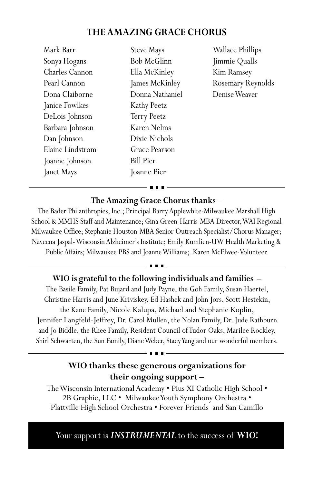# **THE AMAZING GRACE CHORUS**

Mark Barr Sonya Hogans Charles Cannon Pearl Cannon Dona Claiborne Janice Fowlkes DeLois Johnson Barbara Johnson Dan Johnson Elaine Lindstrom Joanne Johnson Janet Mays

Steve Mays Bob McGlinn Ella McKinley James McKinley Donna Nathaniel Kathy Peetz Terry Peetz Karen Nelms Dixie Nichols Grace Pearson Bill Pier Joanne Pier

Wallace Phillips Jimmie Qualls Kim Ramsey Rosemary Reynolds Denise Weaver

## **The Amazing Grace Chorus thanks –**

The Bader Philanthropies, Inc.; Principal Barry Applewhite-Milwaukee Marshall High School & MMHS Staff and Maintenance; Gina Green-Harris-MBA Director, WAI Regional Milwaukee Office; Stephanie Houston-MBA Senior Outreach Specialist/Chorus Manager; Naveena Jaspal- Wisconsin Alzheimer's Institute; Emily Kumlien-UW Health Marketing & Public Affairs; Milwaukee PBS and Joanne Williams; Karen McElwee-Volunteer

### **WIO is grateful to the following individuals and families –**

The Basile Family, Pat Bujard and Judy Payne, the Goh Family, Susan Haertel, Christine Harris and June Kriviskey, Ed Hashek and John Jors, Scott Hestekin, the Kane Family, Nicole Kalupa, Michael and Stephanie Koplin, Jennifer Langfeld-Jeffrey, Dr. Carol Mullen, the Nolan Family, Dr. Jude Rathburn and Jo Biddle, the Rhee Family, Resident Council of Tudor Oaks, Marilee Rockley, Shirl Schwarten, the Sun Family, Diane Weber, Stacy Yang and our wonderful members.

# **WIO thanks these generous organizations for their ongoing support –**

The Wisconsin International Academy • Pius XI Catholic High School • 2B Graphic, LLC • Milwaukee Youth Symphony Orchestra • Plattville High School Orchestra • Forever Friends and San Camillo

Your support is *INSTRUMENTAL* to the success of WIO!